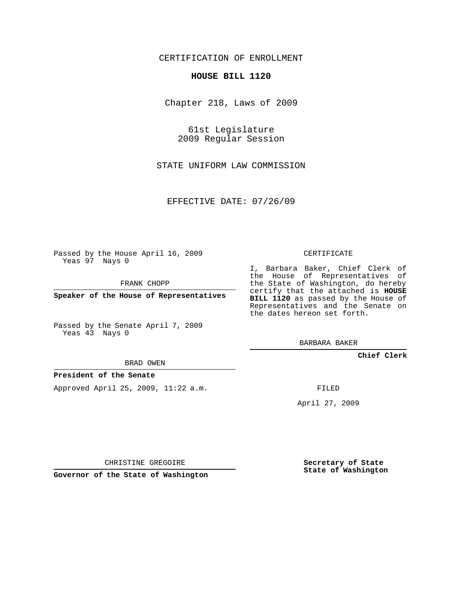## CERTIFICATION OF ENROLLMENT

### **HOUSE BILL 1120**

Chapter 218, Laws of 2009

61st Legislature 2009 Regular Session

STATE UNIFORM LAW COMMISSION

EFFECTIVE DATE: 07/26/09

Passed by the House April 16, 2009 Yeas 97 Nays 0

FRANK CHOPP

**Speaker of the House of Representatives**

Passed by the Senate April 7, 2009 Yeas 43 Nays 0

BRAD OWEN

### **President of the Senate**

Approved April 25, 2009, 11:22 a.m.

CERTIFICATE

I, Barbara Baker, Chief Clerk of the House of Representatives of the State of Washington, do hereby certify that the attached is **HOUSE BILL 1120** as passed by the House of Representatives and the Senate on the dates hereon set forth.

BARBARA BAKER

**Chief Clerk**

FILED

April 27, 2009

CHRISTINE GREGOIRE

**Governor of the State of Washington**

**Secretary of State State of Washington**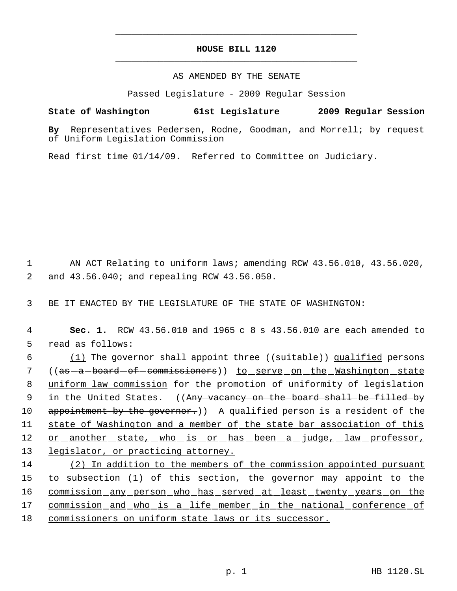# **HOUSE BILL 1120** \_\_\_\_\_\_\_\_\_\_\_\_\_\_\_\_\_\_\_\_\_\_\_\_\_\_\_\_\_\_\_\_\_\_\_\_\_\_\_\_\_\_\_\_\_

\_\_\_\_\_\_\_\_\_\_\_\_\_\_\_\_\_\_\_\_\_\_\_\_\_\_\_\_\_\_\_\_\_\_\_\_\_\_\_\_\_\_\_\_\_

### AS AMENDED BY THE SENATE

Passed Legislature - 2009 Regular Session

## **State of Washington 61st Legislature 2009 Regular Session**

**By** Representatives Pedersen, Rodne, Goodman, and Morrell; by request of Uniform Legislation Commission

Read first time 01/14/09. Referred to Committee on Judiciary.

 1 AN ACT Relating to uniform laws; amending RCW 43.56.010, 43.56.020, 2 and 43.56.040; and repealing RCW 43.56.050.

3 BE IT ENACTED BY THE LEGISLATURE OF THE STATE OF WASHINGTON:

 4 **Sec. 1.** RCW 43.56.010 and 1965 c 8 s 43.56.010 are each amended to 5 read as follows:

6 (1) The governor shall appoint three ((suitable)) qualified persons 7 ((<del>as a board of commissioners</del>)) <u>to serve on the Washington state</u> 8 uniform law commission for the promotion of uniformity of legislation 9 in the United States. ((A<del>ny vacancy on the board shall be filled by</del> 10 appointment by the governor.)) A qualified person is a resident of the 11 state of Washington and a member of the state bar association of this 12 or another state, who is or has been a judge, law professor, 13 legislator, or practicing attorney.

14 (2) In addition to the members of the commission appointed pursuant 15 to subsection (1) of this section, the governor may appoint to the 16 commission any person who has served at least twenty years on the 17 commission and who is a life member in the national conference of 18 commissioners on uniform state laws or its successor.

p. 1 HB 1120.SL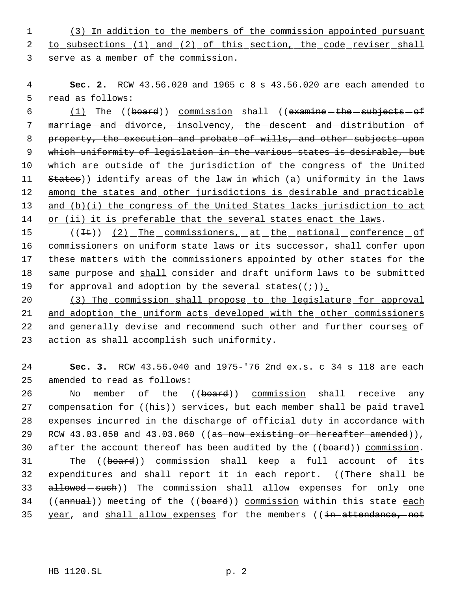1 (3) In addition to the members of the commission appointed pursuant 2 to subsections (1) and (2) of this section, the code reviser shall 3 serve as a member of the commission.

 4 **Sec. 2.** RCW 43.56.020 and 1965 c 8 s 43.56.020 are each amended to 5 read as follows:

6  $(1)$  The ((board)) commission shall ((examine the subjects of 7 marriage and -divorce, insolvency, -the -descent -and -distribution -of 8 property, the execution and probate of wills, and other subjects upon 9 which uniformity of legislation in the various states is desirable, but 10 which are outside of the jurisdiction of the congress of the United 11 States)) identify areas of the law in which (a) uniformity in the laws 12 among the states and other jurisdictions is desirable and practicable 13 and (b)(i) the congress of the United States lacks jurisdiction to act 14 or (ii) it is preferable that the several states enact the laws.

15 ((It)) (2) The commissioners, at the national conference of 16 commissioners on uniform state laws or its successor, shall confer upon 17 these matters with the commissioners appointed by other states for the 18 same purpose and shall consider and draft uniform laws to be submitted 19 for approval and adoption by the several states( $(+)$ ).

 (3) The commission shall propose to the legislature for approval and adoption the uniform acts developed with the other commissioners 22 and generally devise and recommend such other and further courses of action as shall accomplish such uniformity.

24 **Sec. 3.** RCW 43.56.040 and 1975-'76 2nd ex.s. c 34 s 118 are each 25 amended to read as follows:

26 No member of the ((board)) commission shall receive any 27 compensation for ((his)) services, but each member shall be paid travel 28 expenses incurred in the discharge of official duty in accordance with 29 RCW 43.03.050 and 43.03.060 ((as now existing or hereafter amended)), 30 after the account thereof has been audited by the ((board)) commission. 31 The ((board)) commission shall keep a full account of its 32 expenditures and shall report it in each report. ((There-shall-be 33 allowed-such)) The commission shall allow expenses for only one 34 ((annual)) meeting of the ((board)) commission within this state each 35 year, and shall allow expenses for the members ((in attendance, not